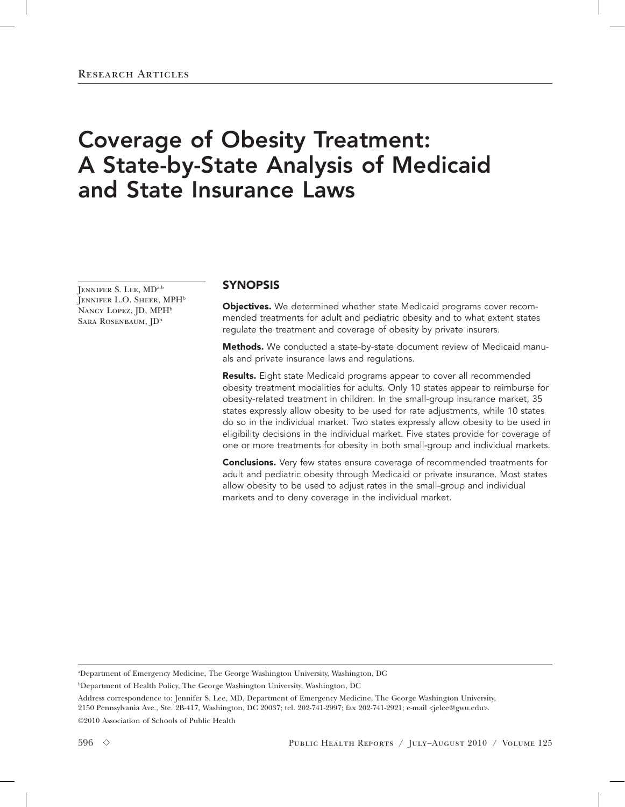# Coverage of Obesity Treatment: A State-by-State Analysis of Medicaid and State Insurance Laws

JENNIFER S. LEE, MD<sup>a,b</sup> JENNIFER L.O. SHEER, MPH<sup>b</sup> NANCY LOPEZ, JD, MPH<sup>b</sup> SARA ROSENBAUM, JD<sup>b</sup>

# SYNOPSIS

**Objectives.** We determined whether state Medicaid programs cover recommended treatments for adult and pediatric obesity and to what extent states regulate the treatment and coverage of obesity by private insurers.

Methods. We conducted a state-by-state document review of Medicaid manuals and private insurance laws and regulations.

Results. Eight state Medicaid programs appear to cover all recommended obesity treatment modalities for adults. Only 10 states appear to reimburse for obesity-related treatment in children. In the small-group insurance market, 35 states expressly allow obesity to be used for rate adjustments, while 10 states do so in the individual market. Two states expressly allow obesity to be used in eligibility decisions in the individual market. Five states provide for coverage of one or more treatments for obesity in both small-group and individual markets.

**Conclusions.** Very few states ensure coverage of recommended treatments for adult and pediatric obesity through Medicaid or private insurance. Most states allow obesity to be used to adjust rates in the small-group and individual markets and to deny coverage in the individual market.

a Department of Emergency Medicine, The George Washington University, Washington, DC

b Department of Health Policy, The George Washington University, Washington, DC

Address correspondence to: Jennifer S. Lee, MD, Department of Emergency Medicine, The George Washington University, 2150 Pennsylvania Ave., Ste. 2B-417, Washington, DC 20037; tel. 202-741-2997; fax 202-741-2921; e-mail <jelee@gwu.edu>.

©2010 Association of Schools of Public Health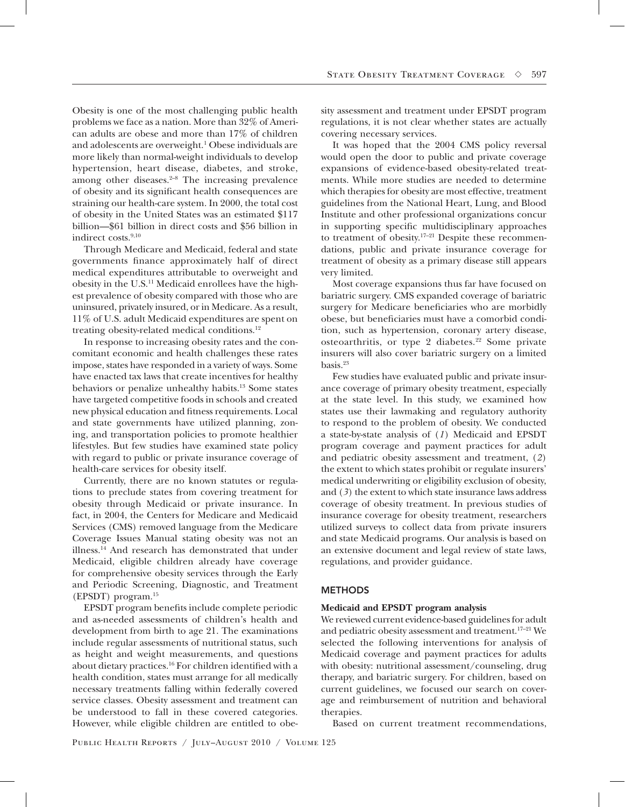Obesity is one of the most challenging public health problems we face as a nation. More than 32% of American adults are obese and more than 17% of children and adolescents are overweight.1 Obese individuals are more likely than normal-weight individuals to develop hypertension, heart disease, diabetes, and stroke, among other diseases. $2-8$  The increasing prevalence of obesity and its significant health consequences are straining our health-care system. In 2000, the total cost of obesity in the United States was an estimated \$117 billion—\$61 billion in direct costs and \$56 billion in indirect costs.<sup>9,10</sup>

Through Medicare and Medicaid, federal and state governments finance approximately half of direct medical expenditures attributable to overweight and obesity in the U.S.<sup>11</sup> Medicaid enrollees have the highest prevalence of obesity compared with those who are uninsured, privately insured, or in Medicare. As a result, 11% of U.S. adult Medicaid expenditures are spent on treating obesity-related medical conditions.12

In response to increasing obesity rates and the concomitant economic and health challenges these rates impose, states have responded in a variety of ways. Some have enacted tax laws that create incentives for healthy behaviors or penalize unhealthy habits.<sup>13</sup> Some states have targeted competitive foods in schools and created new physical education and fitness requirements. Local and state governments have utilized planning, zoning, and transportation policies to promote healthier lifestyles. But few studies have examined state policy with regard to public or private insurance coverage of health-care services for obesity itself.

Currently, there are no known statutes or regulations to preclude states from covering treatment for obesity through Medicaid or private insurance. In fact, in 2004, the Centers for Medicare and Medicaid Services (CMS) removed language from the Medicare Coverage Issues Manual stating obesity was not an illness.14 And research has demonstrated that under Medicaid, eligible children already have coverage for comprehensive obesity services through the Early and Periodic Screening, Diagnostic, and Treatment (EPSDT) program.15

EPSDT program benefits include complete periodic and as-needed assessments of children's health and development from birth to age 21. The examinations include regular assessments of nutritional status, such as height and weight measurements, and questions about dietary practices.16 For children identified with a health condition, states must arrange for all medically necessary treatments falling within federally covered service classes. Obesity assessment and treatment can be understood to fall in these covered categories. However, while eligible children are entitled to obesity assessment and treatment under EPSDT program regulations, it is not clear whether states are actually covering necessary services.

It was hoped that the 2004 CMS policy reversal would open the door to public and private coverage expansions of evidence-based obesity-related treatments. While more studies are needed to determine which therapies for obesity are most effective, treatment guidelines from the National Heart, Lung, and Blood Institute and other professional organizations concur in supporting specific multidisciplinary approaches to treatment of obesity.<sup>17-21</sup> Despite these recommendations, public and private insurance coverage for treatment of obesity as a primary disease still appears very limited.

Most coverage expansions thus far have focused on bariatric surgery. CMS expanded coverage of bariatric surgery for Medicare beneficiaries who are morbidly obese, but beneficiaries must have a comorbid condition, such as hypertension, coronary artery disease, osteoarthritis, or type 2 diabetes.<sup>22</sup> Some private insurers will also cover bariatric surgery on a limited basis.23

Few studies have evaluated public and private insurance coverage of primary obesity treatment, especially at the state level. In this study, we examined how states use their lawmaking and regulatory authority to respond to the problem of obesity. We conducted a state-by-state analysis of (*1*) Medicaid and EPSDT program coverage and payment practices for adult and pediatric obesity assessment and treatment, (*2*) the extent to which states prohibit or regulate insurers' medical underwriting or eligibility exclusion of obesity, and (*3*) the extent to which state insurance laws address coverage of obesity treatment. In previous studies of insurance coverage for obesity treatment, researchers utilized surveys to collect data from private insurers and state Medicaid programs. Our analysis is based on an extensive document and legal review of state laws, regulations, and provider guidance.

# **METHODS**

#### **Medicaid and EPSDT program analysis**

We reviewed current evidence-based guidelines for adult and pediatric obesity assessment and treatment.<sup>17-21</sup> We selected the following interventions for analysis of Medicaid coverage and payment practices for adults with obesity: nutritional assessment/counseling, drug therapy, and bariatric surgery. For children, based on current guidelines, we focused our search on coverage and reimbursement of nutrition and behavioral therapies.

Based on current treatment recommendations,

Public Health Reports / July–August 2010 / Volume 125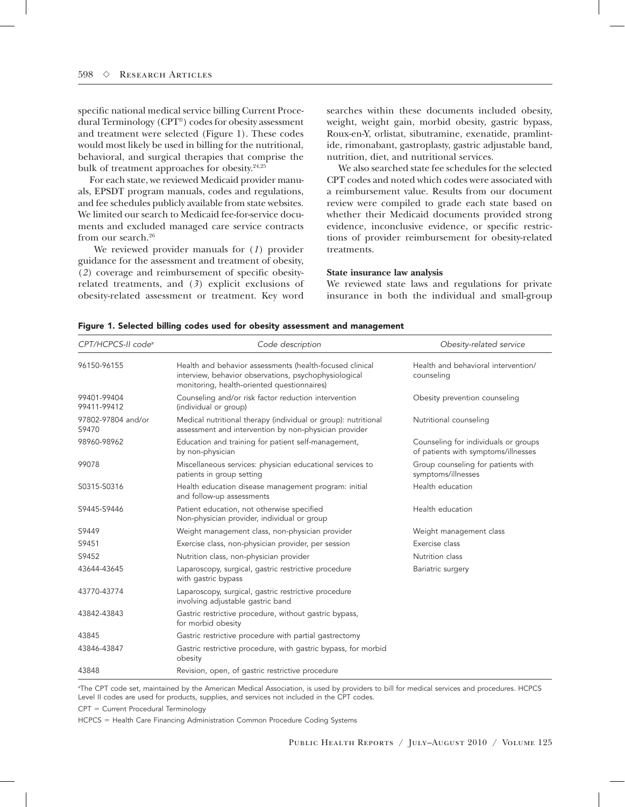specific national medical service billing Current Procedural Terminology (CPT®) codes for obesity assessment and treatment were selected (Figure 1). These codes would most likely be used in billing for the nutritional, behavioral, and surgical therapies that comprise the bulk of treatment approaches for obesity.<sup>24,25</sup>

For each state, we reviewed Medicaid provider manuals, EPSDT program manuals, codes and regulations, and fee schedules publicly available from state websites. We limited our search to Medicaid fee-for-service documents and excluded managed care service contracts from our search.26

 We reviewed provider manuals for (*1*) provider guidance for the assessment and treatment of obesity, (*2*) coverage and reimbursement of specific obesityrelated treatments, and (*3*) explicit exclusions of obesity-related assessment or treatment. Key word

searches within these documents included obesity, weight, weight gain, morbid obesity, gastric bypass, Roux-en-Y, orlistat, sibutramine, exenatide, pramlintide, rimonabant, gastroplasty, gastric adjustable band, nutrition, diet, and nutritional services.

We also searched state fee schedules for the selected CPT codes and noted which codes were associated with a reimbursement value. Results from our document review were compiled to grade each state based on whether their Medicaid documents provided strong evidence, inconclusive evidence, or specific restrictions of provider reimbursement for obesity-related treatments.

#### **State insurance law analysis**

We reviewed state laws and regulations for private insurance in both the individual and small-group

| CPT/HCPCS-II code <sup>a</sup> | Code description                                                                                                                                                 | Obesity-related service                                                     |
|--------------------------------|------------------------------------------------------------------------------------------------------------------------------------------------------------------|-----------------------------------------------------------------------------|
| 96150-96155                    | Health and behavior assessments (health-focused clinical<br>interview, behavior observations, psychophysiological<br>monitoring, health-oriented questionnaires) | Health and behavioral intervention/<br>counseling                           |
| 99401-99404<br>99411-99412     | Counseling and/or risk factor reduction intervention<br>(individual or group)                                                                                    | Obesity prevention counseling                                               |
| 97802-97804 and/or<br>S9470    | Medical nutritional therapy (individual or group): nutritional<br>assessment and intervention by non-physician provider                                          | Nutritional counseling                                                      |
| 98960-98962                    | Education and training for patient self-management,<br>by non-physician                                                                                          | Counseling for individuals or groups<br>of patients with symptoms/illnesses |
| 99078                          | Miscellaneous services: physician educational services to<br>patients in group setting                                                                           | Group counseling for patients with<br>symptoms/illnesses                    |
| S0315-S0316                    | Health education disease management program: initial<br>and follow-up assessments                                                                                | Health education                                                            |
| S9445-S9446                    | Patient education, not otherwise specified<br>Non-physician provider, individual or group                                                                        | Health education                                                            |
| S9449                          | Weight management class, non-physician provider                                                                                                                  | Weight management class                                                     |
| S9451                          | Exercise class, non-physician provider, per session                                                                                                              | Exercise class                                                              |
| S9452                          | Nutrition class, non-physician provider                                                                                                                          | Nutrition class                                                             |
| 43644-43645                    | Laparoscopy, surgical, gastric restrictive procedure<br>with gastric bypass                                                                                      | Bariatric surgery                                                           |
| 43770-43774                    | Laparoscopy, surgical, gastric restrictive procedure<br>involving adjustable gastric band                                                                        |                                                                             |
| 43842-43843                    | Gastric restrictive procedure, without gastric bypass,<br>for morbid obesity                                                                                     |                                                                             |
| 43845                          | Gastric restrictive procedure with partial gastrectomy                                                                                                           |                                                                             |
| 43846-43847                    | Gastric restrictive procedure, with gastric bypass, for morbid<br>obesity                                                                                        |                                                                             |
| 43848                          | Revision, open, of gastric restrictive procedure                                                                                                                 |                                                                             |

Figure 1. Selected billing codes used for obesity assessment and management

a The CPT code set, maintained by the American Medical Association, is used by providers to bill for medical services and procedures. HCPCS Level II codes are used for products, supplies, and services not included in the CPT codes.

CPT = Current Procedural Terminology

HCPCS = Health Care Financing Administration Common Procedure Coding Systems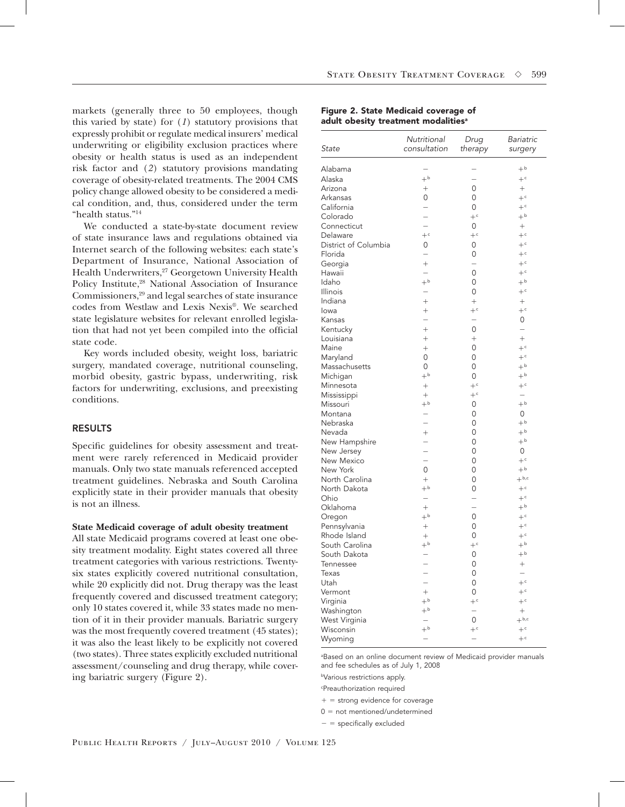markets (generally three to 50 employees, though this varied by state) for (*1*) statutory provisions that expressly prohibit or regulate medical insurers' medical underwriting or eligibility exclusion practices where obesity or health status is used as an independent risk factor and (*2*) statutory provisions mandating coverage of obesity-related treatments. The 2004 CMS policy change allowed obesity to be considered a medical condition, and, thus, considered under the term "health status."14

We conducted a state-by-state document review of state insurance laws and regulations obtained via Internet search of the following websites: each state's Department of Insurance, National Association of Health Underwriters,<sup>27</sup> Georgetown University Health Policy Institute,<sup>28</sup> National Association of Insurance Commissioners,29 and legal searches of state insurance codes from Westlaw and Lexis Nexis®. We searched state legislature websites for relevant enrolled legislation that had not yet been compiled into the official state code.

Key words included obesity, weight loss, bariatric surgery, mandated coverage, nutritional counseling, morbid obesity, gastric bypass, underwriting, risk factors for underwriting, exclusions, and preexisting conditions.

# RESULTS

Specific guidelines for obesity assessment and treatment were rarely referenced in Medicaid provider manuals. Only two state manuals referenced accepted treatment guidelines. Nebraska and South Carolina explicitly state in their provider manuals that obesity is not an illness.

#### **State Medicaid coverage of adult obesity treatment**

All state Medicaid programs covered at least one obesity treatment modality. Eight states covered all three treatment categories with various restrictions. Twentysix states explicitly covered nutritional consultation, while 20 explicitly did not. Drug therapy was the least frequently covered and discussed treatment category; only 10 states covered it, while 33 states made no mention of it in their provider manuals. Bariatric surgery was the most frequently covered treatment (45 states); it was also the least likely to be explicitly not covered (two states). Three states explicitly excluded nutritional assessment/counseling and drug therapy, while covering bariatric surgery (Figure 2).

# Figure 2. State Medicaid coverage of

# adult obesity treatment modalities<sup>a</sup>

| State                | Nutritional<br>consultation | Drug<br>therapy          | <b>Bariatric</b><br>surgery |
|----------------------|-----------------------------|--------------------------|-----------------------------|
| Alabama              |                             |                          | $+^{\rm b}$                 |
| Alaska               | $+^{\rm b}$                 |                          | $+$ c                       |
| Arizona              | $^{+}$                      | 0                        | $^{+}$                      |
| Arkansas             | 0                           | 0                        | $+$ c                       |
| California           | $\overline{\phantom{0}}$    | 0                        | $+$ c                       |
| Colorado             |                             | $+$ c                    | $+^{\rm b}$                 |
| Connecticut          |                             | 0                        | $^{+}$                      |
| Delaware             | $+$ c                       | $+$ c                    | $+$ c                       |
| District of Columbia | 0                           | 0                        | $+$ c                       |
| Florida              | $\overline{a}$              | 0                        | $+$ c                       |
| Georgia              | $^{+}$                      | $\overline{\phantom{0}}$ | $+$ c                       |
| Hawaii               | $\overline{\phantom{0}}$    | 0                        | $+$ c                       |
| Idaho                | $+^{\rm b}$                 | 0                        | $+^{\rm b}$                 |
| Illinois             |                             | 0                        | $+$ c                       |
| Indiana              | $^{+}$                      | $^{+}$                   | $^{+}$                      |
| lowa                 | $^{+}$                      | $+$ c                    | $+$ c                       |
| Kansas               | $\overline{\phantom{0}}$    | $\overline{\phantom{0}}$ | 0                           |
| Kentucky             | $^{+}$                      | 0                        | $\overline{\phantom{0}}$    |
| Louisiana            | $^{+}$                      | $^{+}$                   | $^{+}$                      |
| Maine                | $^{+}$                      | 0                        | $+$ c                       |
| Maryland             | 0                           | 0                        | $+$ c                       |
| Massachusetts        | 0                           | 0                        | $+^{\rm b}$                 |
| Michigan             | $+^{\rm b}$                 | 0                        | $+^{\rm b}$                 |
| Minnesota            | $\! + \!\!\!\!$             | $+$ c                    | $+$ c                       |
| Mississippi          | $^{+}$                      | $+$ c                    |                             |
| Missouri             | $+^{\rm b}$                 | 0                        | $+^{\rm b}$                 |
| Montana              |                             | 0                        | 0                           |
| Nebraska             |                             | 0                        | $+^{\rm b}$                 |
| Nevada               | $^{+}$                      | 0                        | $+^{\rm b}$                 |
| New Hampshire        | -                           | 0                        | $+^{\rm b}$                 |
| New Jersey           | $\overline{\phantom{0}}$    | 0                        | 0                           |
| <b>New Mexico</b>    | $\overline{\phantom{0}}$    | 0                        | $+$ c                       |
| New York             | 0                           | 0                        | $+^{\rm b}$                 |
| North Carolina       | $^{+}$                      | 0                        | $+$ b,c                     |
| North Dakota         | $+^{\rm b}$                 | 0                        | $+$ c                       |
| Ohio                 |                             |                          | $+$ c                       |
| Oklahoma             | $^{+}$                      | $\overline{\phantom{0}}$ | $+^{\rm b}$                 |
| Oregon               | $+^{\rm b}$                 | 0                        | $+$ c                       |
| Pennsylvania         | $^{+}$                      | 0                        | $+$ c                       |
| Rhode Island         | $^{+}$                      | 0                        | $+$ c                       |
| South Carolina       | $+^{\rm b}$                 | $+$ c                    | $+^{\rm b}$                 |
| South Dakota         | $\overline{\phantom{0}}$    | 0                        | $+^{\rm b}$                 |
| Tennessee            |                             | 0                        | $^+$                        |
| Texas                |                             | $\mathsf{O}\xspace$      |                             |
| Utah                 |                             | $\overline{0}$           | $+$ c                       |
| Vermont              | $^{+}$                      | $\mathbf 0$              | $+$ c                       |
| Virginia             | $+^{\rm b}$                 | $+$ c                    | $+$ c                       |
| Washington           | $+^{\rm b}$                 |                          | $^{+}$                      |
| West Virginia        |                             | $\mathsf{O}\xspace$      | $+$ b,c                     |
| Wisconsin            | $+^{\rm b}$                 | $+$ c                    | $+$ c                       |
| Wyoming              |                             |                          | $+$ c                       |

a Based on an online document review of Medicaid provider manuals and fee schedules as of July 1, 2008

**bVarious restrictions apply.** 

c Preauthorization required

 $+$  = strong evidence for coverage

 $0 = not mentioned/undetermined$ 

 $-$  = specifically excluded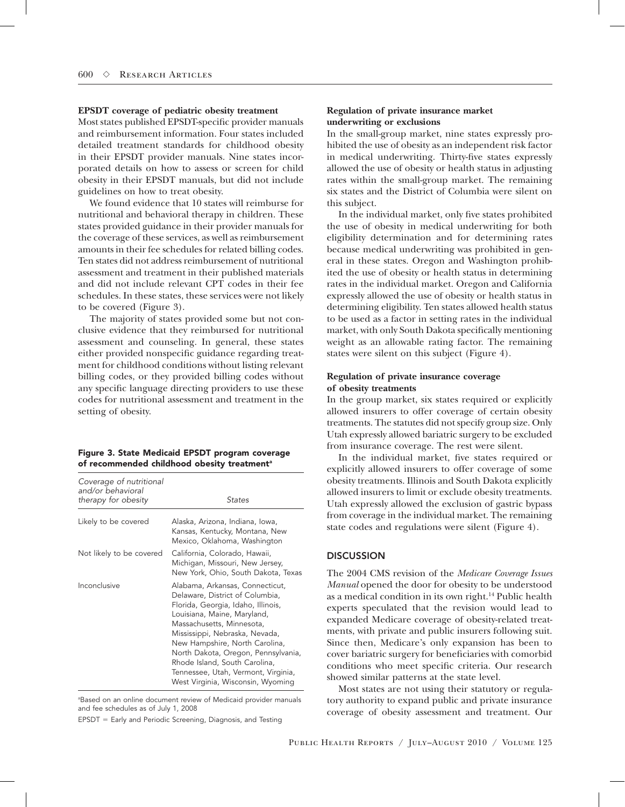## **EPSDT coverage of pediatric obesity treatment**

Most states published EPSDT-specific provider manuals and reimbursement information. Four states included detailed treatment standards for childhood obesity in their EPSDT provider manuals. Nine states incorporated details on how to assess or screen for child obesity in their EPSDT manuals, but did not include guidelines on how to treat obesity.

We found evidence that 10 states will reimburse for nutritional and behavioral therapy in children. These states provided guidance in their provider manuals for the coverage of these services, as well as reimbursement amounts in their fee schedules for related billing codes. Ten states did not address reimbursement of nutritional assessment and treatment in their published materials and did not include relevant CPT codes in their fee schedules. In these states, these services were not likely to be covered (Figure 3).

The majority of states provided some but not conclusive evidence that they reimbursed for nutritional assessment and counseling. In general, these states either provided nonspecific guidance regarding treatment for childhood conditions without listing relevant billing codes, or they provided billing codes without any specific language directing providers to use these codes for nutritional assessment and treatment in the setting of obesity.

|  |  |                                                         | Figure 3. State Medicaid EPSDT program coverage |
|--|--|---------------------------------------------------------|-------------------------------------------------|
|  |  | of recommended childhood obesity treatment <sup>a</sup> |                                                 |

| Coverage of nutritional<br>and/or behavioral<br>therapy for obesity | <b>States</b>                                                                                                                                                                                                                                                                                                                                                                                |
|---------------------------------------------------------------------|----------------------------------------------------------------------------------------------------------------------------------------------------------------------------------------------------------------------------------------------------------------------------------------------------------------------------------------------------------------------------------------------|
| Likely to be covered                                                | Alaska, Arizona, Indiana, Iowa,<br>Kansas, Kentucky, Montana, New<br>Mexico, Oklahoma, Washington                                                                                                                                                                                                                                                                                            |
| Not likely to be covered                                            | California, Colorado, Hawaii,<br>Michigan, Missouri, New Jersey,<br>New York, Ohio, South Dakota, Texas                                                                                                                                                                                                                                                                                      |
| Inconclusive                                                        | Alabama, Arkansas, Connecticut,<br>Delaware, District of Columbia,<br>Florida, Georgia, Idaho, Illinois,<br>Louisiana, Maine, Maryland,<br>Massachusetts, Minnesota,<br>Mississippi, Nebraska, Nevada,<br>New Hampshire, North Carolina,<br>North Dakota, Oregon, Pennsylvania,<br>Rhode Island, South Carolina,<br>Tennessee, Utah, Vermont, Virginia,<br>West Virginia, Wisconsin, Wyoming |

a Based on an online document review of Medicaid provider manuals and fee schedules as of July 1, 2008

 $EPSDT =$  Early and Periodic Screening, Diagnosis, and Testing

# **Regulation of private insurance market underwriting or exclusions**

In the small-group market, nine states expressly prohibited the use of obesity as an independent risk factor in medical underwriting. Thirty-five states expressly allowed the use of obesity or health status in adjusting rates within the small-group market. The remaining six states and the District of Columbia were silent on this subject.

In the individual market, only five states prohibited the use of obesity in medical underwriting for both eligibility determination and for determining rates because medical underwriting was prohibited in general in these states. Oregon and Washington prohibited the use of obesity or health status in determining rates in the individual market. Oregon and California expressly allowed the use of obesity or health status in determining eligibility. Ten states allowed health status to be used as a factor in setting rates in the individual market, with only South Dakota specifically mentioning weight as an allowable rating factor. The remaining states were silent on this subject (Figure 4).

## **Regulation of private insurance coverage of obesity treatments**

In the group market, six states required or explicitly allowed insurers to offer coverage of certain obesity treatments. The statutes did not specify group size. Only Utah expressly allowed bariatric surgery to be excluded from insurance coverage. The rest were silent.

In the individual market, five states required or explicitly allowed insurers to offer coverage of some obesity treatments. Illinois and South Dakota explicitly allowed insurers to limit or exclude obesity treatments. Utah expressly allowed the exclusion of gastric bypass from coverage in the individual market. The remaining state codes and regulations were silent (Figure 4).

# **DISCUSSION**

The 2004 CMS revision of the *Medicare Coverage Issues Manual* opened the door for obesity to be understood as a medical condition in its own right.<sup>14</sup> Public health experts speculated that the revision would lead to expanded Medicare coverage of obesity-related treatments, with private and public insurers following suit. Since then, Medicare's only expansion has been to cover bariatric surgery for beneficiaries with comorbid conditions who meet specific criteria. Our research showed similar patterns at the state level.

Most states are not using their statutory or regulatory authority to expand public and private insurance coverage of obesity assessment and treatment. Our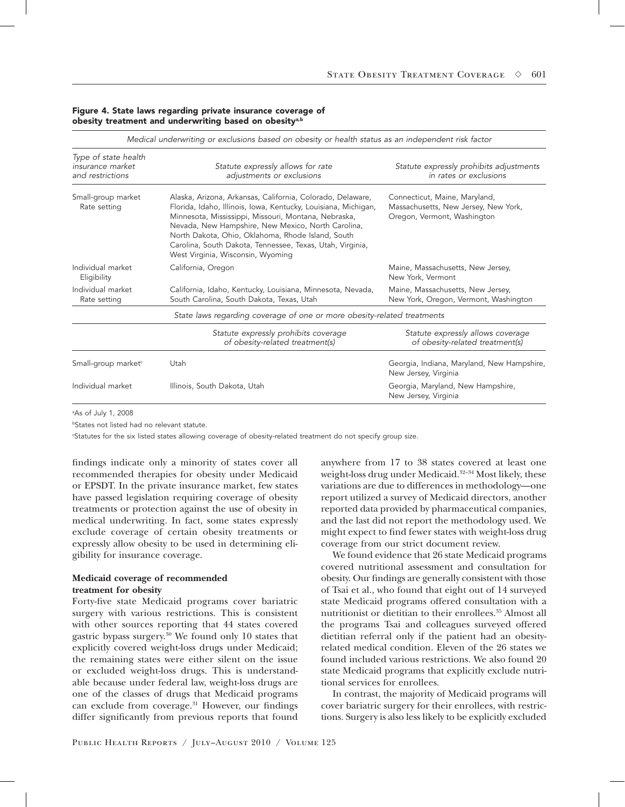|                                                              | Medical underwriting or exclusions based on obesity or health status as an independent risk factor                                                                                                                                                                                                                                                                                                |                                                                                                      |
|--------------------------------------------------------------|---------------------------------------------------------------------------------------------------------------------------------------------------------------------------------------------------------------------------------------------------------------------------------------------------------------------------------------------------------------------------------------------------|------------------------------------------------------------------------------------------------------|
| Type of state health<br>insurance market<br>and restrictions | Statute expressly allows for rate<br>adjustments or exclusions                                                                                                                                                                                                                                                                                                                                    | Statute expressly prohibits adjustments<br>in rates or exclusions                                    |
| Small-group market<br>Rate setting                           | Alaska, Arizona, Arkansas, California, Colorado, Delaware,<br>Florida, Idaho, Illinois, Iowa, Kentucky, Louisiana, Michigan,<br>Minnesota, Mississippi, Missouri, Montana, Nebraska,<br>Nevada, New Hampshire, New Mexico, North Carolina,<br>North Dakota, Ohio, Oklahoma, Rhode Island, South<br>Carolina, South Dakota, Tennessee, Texas, Utah, Virginia,<br>West Virginia, Wisconsin, Wyoming | Connecticut, Maine, Maryland,<br>Massachusetts, New Jersey, New York,<br>Oregon, Vermont, Washington |
| Individual market<br>Eligibility                             | California, Oregon                                                                                                                                                                                                                                                                                                                                                                                | Maine, Massachusetts, New Jersey,<br>New York, Vermont                                               |
| Individual market<br>Rate setting                            | California, Idaho, Kentucky, Louisiana, Minnesota, Nevada,<br>South Carolina, South Dakota, Texas, Utah                                                                                                                                                                                                                                                                                           | Maine, Massachusetts, New Jersey,<br>New York, Oregon, Vermont, Washington                           |
|                                                              | State laws regarding coverage of one or more obesity-related treatments                                                                                                                                                                                                                                                                                                                           |                                                                                                      |
|                                                              | Statute expressly prohibits coverage<br>of obesity-related treatment(s)                                                                                                                                                                                                                                                                                                                           | Statute expressly allows coverage<br>of obesity-related treatment(s)                                 |
| Small-group market <sup>c</sup>                              | Utah                                                                                                                                                                                                                                                                                                                                                                                              | Georgia, Indiana, Maryland, New Hampshire,<br>New Jersey, Virginia                                   |
| Individual market                                            | Illinois, South Dakota, Utah                                                                                                                                                                                                                                                                                                                                                                      | Georgia, Maryland, New Hampshire,<br>New Jersey, Virginia                                            |
|                                                              |                                                                                                                                                                                                                                                                                                                                                                                                   |                                                                                                      |

#### Figure 4. State laws regarding private insurance coverage of obesity treatment and underwriting based on obesity<sup>a,b</sup>

a As of July 1, 2008

**bStates not listed had no relevant statute.** 

c Statutes for the six listed states allowing coverage of obesity-related treatment do not specify group size.

findings indicate only a minority of states cover all recommended therapies for obesity under Medicaid or EPSDT. In the private insurance market, few states have passed legislation requiring coverage of obesity treatments or protection against the use of obesity in medical underwriting. In fact, some states expressly exclude coverage of certain obesity treatments or expressly allow obesity to be used in determining eligibility for insurance coverage.

# **Medicaid coverage of recommended treatment for obesity**

Forty-five state Medicaid programs cover bariatric surgery with various restrictions. This is consistent with other sources reporting that 44 states covered gastric bypass surgery.<sup>30</sup> We found only 10 states that explicitly covered weight-loss drugs under Medicaid; the remaining states were either silent on the issue or excluded weight-loss drugs. This is understandable because under federal law, weight-loss drugs are one of the classes of drugs that Medicaid programs can exclude from coverage.<sup>31</sup> However, our findings differ significantly from previous reports that found

anywhere from 17 to 38 states covered at least one weight-loss drug under Medicaid.<sup>32-34</sup> Most likely, these variations are due to differences in methodology—one report utilized a survey of Medicaid directors, another reported data provided by pharmaceutical companies, and the last did not report the methodology used. We might expect to find fewer states with weight-loss drug coverage from our strict document review.

We found evidence that 26 state Medicaid programs covered nutritional assessment and consultation for obesity. Our findings are generally consistent with those of Tsai et al., who found that eight out of 14 surveyed state Medicaid programs offered consultation with a nutritionist or dietitian to their enrollees.<sup>35</sup> Almost all the programs Tsai and colleagues surveyed offered dietitian referral only if the patient had an obesityrelated medical condition. Eleven of the 26 states we found included various restrictions. We also found 20 state Medicaid programs that explicitly exclude nutritional services for enrollees.

In contrast, the majority of Medicaid programs will cover bariatric surgery for their enrollees, with restrictions. Surgery is also less likely to be explicitly excluded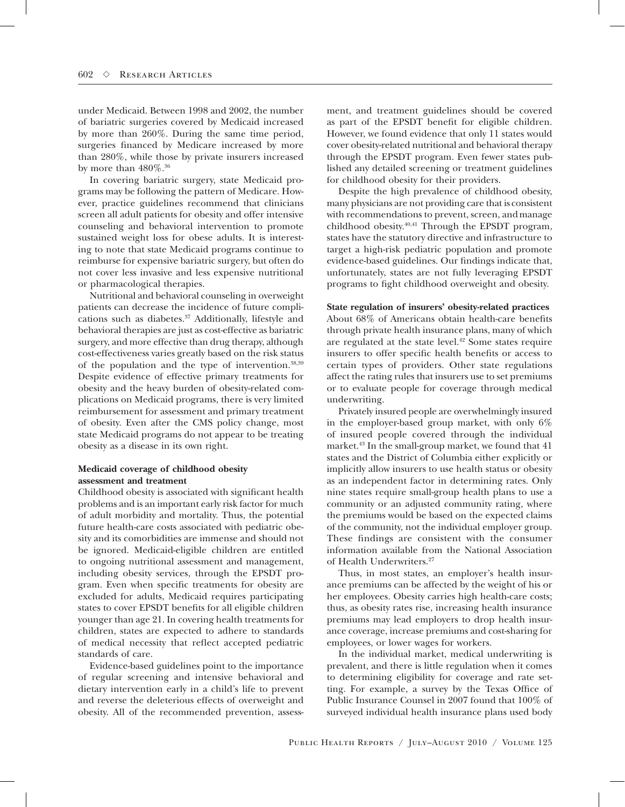under Medicaid. Between 1998 and 2002, the number of bariatric surgeries covered by Medicaid increased by more than 260%. During the same time period, surgeries financed by Medicare increased by more than 280%, while those by private insurers increased by more than 480%.36

In covering bariatric surgery, state Medicaid programs may be following the pattern of Medicare. However, practice guidelines recommend that clinicians screen all adult patients for obesity and offer intensive counseling and behavioral intervention to promote sustained weight loss for obese adults. It is interesting to note that state Medicaid programs continue to reimburse for expensive bariatric surgery, but often do not cover less invasive and less expensive nutritional or pharmacological therapies.

Nutritional and behavioral counseling in overweight patients can decrease the incidence of future complications such as diabetes.<sup>37</sup> Additionally, lifestyle and behavioral therapies are just as cost-effective as bariatric surgery, and more effective than drug therapy, although cost-effectiveness varies greatly based on the risk status of the population and the type of intervention.38,39 Despite evidence of effective primary treatments for obesity and the heavy burden of obesity-related complications on Medicaid programs, there is very limited reimbursement for assessment and primary treatment of obesity. Even after the CMS policy change, most state Medicaid programs do not appear to be treating obesity as a disease in its own right.

# **Medicaid coverage of childhood obesity assessment and treatment**

Childhood obesity is associated with significant health problems and is an important early risk factor for much of adult morbidity and mortality. Thus, the potential future health-care costs associated with pediatric obesity and its comorbidities are immense and should not be ignored. Medicaid-eligible children are entitled to ongoing nutritional assessment and management, including obesity services, through the EPSDT program. Even when specific treatments for obesity are excluded for adults, Medicaid requires participating states to cover EPSDT benefits for all eligible children younger than age 21. In covering health treatments for children, states are expected to adhere to standards of medical necessity that reflect accepted pediatric standards of care.

Evidence-based guidelines point to the importance of regular screening and intensive behavioral and dietary intervention early in a child's life to prevent and reverse the deleterious effects of overweight and obesity. All of the recommended prevention, assessment, and treatment guidelines should be covered as part of the EPSDT benefit for eligible children. However, we found evidence that only 11 states would cover obesity-related nutritional and behavioral therapy through the EPSDT program. Even fewer states published any detailed screening or treatment guidelines for childhood obesity for their providers.

Despite the high prevalence of childhood obesity, many physicians are not providing care that is consistent with recommendations to prevent, screen, and manage childhood obesity.40,41 Through the EPSDT program, states have the statutory directive and infrastructure to target a high-risk pediatric population and promote evidence-based guidelines. Our findings indicate that, unfortunately, states are not fully leveraging EPSDT programs to fight childhood overweight and obesity.

#### **State regulation of insurers' obesity-related practices**

About 68% of Americans obtain health-care benefits through private health insurance plans, many of which are regulated at the state level.<sup>42</sup> Some states require insurers to offer specific health benefits or access to certain types of providers. Other state regulations affect the rating rules that insurers use to set premiums or to evaluate people for coverage through medical underwriting.

Privately insured people are overwhelmingly insured in the employer-based group market, with only 6% of insured people covered through the individual market.<sup>43</sup> In the small-group market, we found that 41 states and the District of Columbia either explicitly or implicitly allow insurers to use health status or obesity as an independent factor in determining rates. Only nine states require small-group health plans to use a community or an adjusted community rating, where the premiums would be based on the expected claims of the community, not the individual employer group. These findings are consistent with the consumer information available from the National Association of Health Underwriters.<sup>27</sup>

Thus, in most states, an employer's health insurance premiums can be affected by the weight of his or her employees. Obesity carries high health-care costs; thus, as obesity rates rise, increasing health insurance premiums may lead employers to drop health insurance coverage, increase premiums and cost-sharing for employees, or lower wages for workers.

In the individual market, medical underwriting is prevalent, and there is little regulation when it comes to determining eligibility for coverage and rate setting. For example, a survey by the Texas Office of Public Insurance Counsel in 2007 found that 100% of surveyed individual health insurance plans used body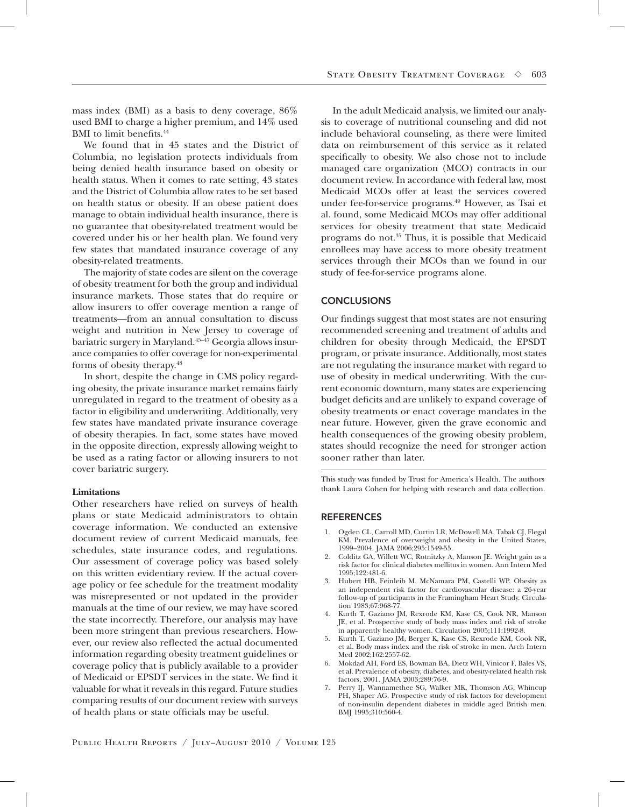mass index (BMI) as a basis to deny coverage, 86% used BMI to charge a higher premium, and 14% used BMI to limit benefits.<sup>44</sup>

We found that in 45 states and the District of Columbia, no legislation protects individuals from being denied health insurance based on obesity or health status. When it comes to rate setting, 43 states and the District of Columbia allow rates to be set based on health status or obesity. If an obese patient does manage to obtain individual health insurance, there is no guarantee that obesity-related treatment would be covered under his or her health plan. We found very few states that mandated insurance coverage of any obesity-related treatments.

The majority of state codes are silent on the coverage of obesity treatment for both the group and individual insurance markets. Those states that do require or allow insurers to offer coverage mention a range of treatments—from an annual consultation to discuss weight and nutrition in New Jersey to coverage of bariatric surgery in Maryland.<sup>45-47</sup> Georgia allows insurance companies to offer coverage for non-experimental forms of obesity therapy.48

In short, despite the change in CMS policy regarding obesity, the private insurance market remains fairly unregulated in regard to the treatment of obesity as a factor in eligibility and underwriting. Additionally, very few states have mandated private insurance coverage of obesity therapies. In fact, some states have moved in the opposite direction, expressly allowing weight to be used as a rating factor or allowing insurers to not cover bariatric surgery.

#### **Limitations**

Other researchers have relied on surveys of health plans or state Medicaid administrators to obtain coverage information. We conducted an extensive document review of current Medicaid manuals, fee schedules, state insurance codes, and regulations. Our assessment of coverage policy was based solely on this written evidentiary review. If the actual coverage policy or fee schedule for the treatment modality was misrepresented or not updated in the provider manuals at the time of our review, we may have scored the state incorrectly. Therefore, our analysis may have been more stringent than previous researchers. However, our review also reflected the actual documented information regarding obesity treatment guidelines or coverage policy that is publicly available to a provider of Medicaid or EPSDT services in the state. We find it valuable for what it reveals in this regard. Future studies comparing results of our document review with surveys of health plans or state officials may be useful.

In the adult Medicaid analysis, we limited our analysis to coverage of nutritional counseling and did not include behavioral counseling, as there were limited data on reimbursement of this service as it related specifically to obesity. We also chose not to include managed care organization (MCO) contracts in our document review. In accordance with federal law, most Medicaid MCOs offer at least the services covered under fee-for-service programs.<sup>49</sup> However, as Tsai et al. found, some Medicaid MCOs may offer additional services for obesity treatment that state Medicaid programs do not.35 Thus, it is possible that Medicaid enrollees may have access to more obesity treatment services through their MCOs than we found in our study of fee-for-service programs alone.

### **CONCLUSIONS**

Our findings suggest that most states are not ensuring recommended screening and treatment of adults and children for obesity through Medicaid, the EPSDT program, or private insurance. Additionally, most states are not regulating the insurance market with regard to use of obesity in medical underwriting. With the current economic downturn, many states are experiencing budget deficits and are unlikely to expand coverage of obesity treatments or enact coverage mandates in the near future. However, given the grave economic and health consequences of the growing obesity problem, states should recognize the need for stronger action sooner rather than later.

This study was funded by Trust for America's Health. The authors thank Laura Cohen for helping with research and data collection.

#### **REFERENCES**

- 1. Ogden CL, Carroll MD, Curtin LR, McDowell MA, Tabak CJ, Flegal KM. Prevalence of overweight and obesity in the United States, 1999–2004. JAMA 2006;295:1549-55.
- 2. Colditz GA, Willett WC, Rotnitzky A, Manson JE. Weight gain as a risk factor for clinical diabetes mellitus in women. Ann Intern Med 1995;122:481-6.
- 3. Hubert HB, Feinleib M, McNamara PM, Castelli WP. Obesity as an independent risk factor for cardiovascular disease: a 26-year follow-up of participants in the Framingham Heart Study. Circulation 1983;67:968-77
- 4. Kurth T, Gaziano JM, Rexrode KM, Kase CS, Cook NR, Manson JE, et al. Prospective study of body mass index and risk of stroke in apparently healthy women. Circulation 2005;111:1992-8.
- 5. Kurth T, Gaziano JM, Berger K, Kase CS, Rexrode KM, Cook NR, et al. Body mass index and the risk of stroke in men. Arch Intern Med 2002;162:2557-62.
- 6. Mokdad AH, Ford ES, Bowman BA, Dietz WH, Vinicor F, Bales VS, et al. Prevalence of obesity, diabetes, and obesity-related health risk factors, 2001. JAMA 2003;289:76-9.
- Perry IJ, Wannamethee SG, Walker MK, Thomson AG, Whincup PH, Shaper AG. Prospective study of risk factors for development of non-insulin dependent diabetes in middle aged British men. BMJ 1995;310:560-4.

Public Health Reports / July–August 2010 / Volume 125